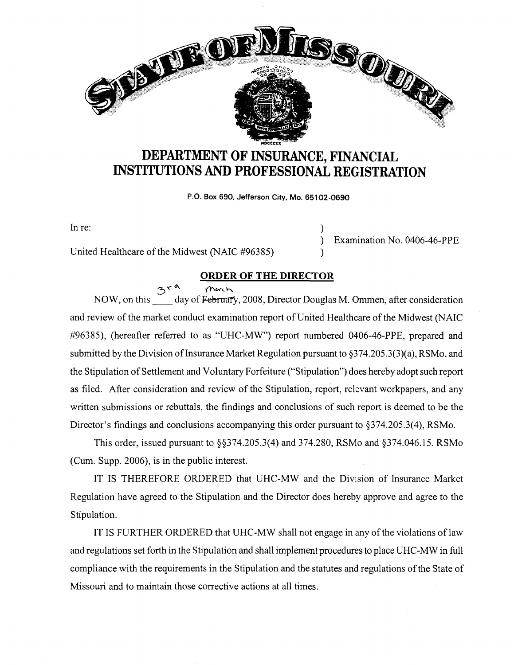

## **DEPARTMENT OF INSURANCE, FINANCIAL INSTITUTIONS AND PROFESSIONAL REGISTRATION**

**P.O. Box 690. Jefferson City, Mo. 65102-0690** 

)

)

In re:

United Healthcare of the Midwest (NAIC #96385)

) Examination No. 0406-46-PPE

## **ORDER OF THE DIRECTOR**

B<sup>r A</sup> Much, *Commen, after consideration* NOW, on this <u>Same day of February,</u> 2008, Director Douglas M. Ommen, after consideration and review of the market conduct examination report of United Healthcare of the Midwest (NAIC #96385), (hereafter referred to as "UHC-MW") report numbered 0406-46-PPE, prepared and submitted by the Division of Insurance Market Regulation pursuant to  $\S 374.205.3(3)(a)$ , RSMo, and the Stipulation of Settlement and Voluntary Forfeiture ("Stipulation") does hereby adopt such report as filed. After consideration and review of the Stipulation, report, relevant workpapers, and any written submissions or rebuttals, the findings and conclusions of such report is deemed to be the Director's findings and conclusions accompanying this order pursuant to §374.205.3(4), RSMo.

This order, issued pursuant to §§374.205.3(4) and 374.280, RSMo and §374.046.15. RSMo (Cum. Supp. 2006), is in the public interest.

IT IS THEREFORE ORDERED that UHC-MW and the Division of Insurance Market Regulation have agreed to the Stipulation and the Director does hereby approve and agree to the Stipulation.

IT IS FURTHER ORDERED that UHC-MW shall not engage in any of the violations of law and regulations set forth in the Stipulation and shall implement procedures to place UHC-MW in full compliance with the requirements in the Stipulation and the statutes and regulations of the State of Missouri and to maintain those corrective actions at all times.